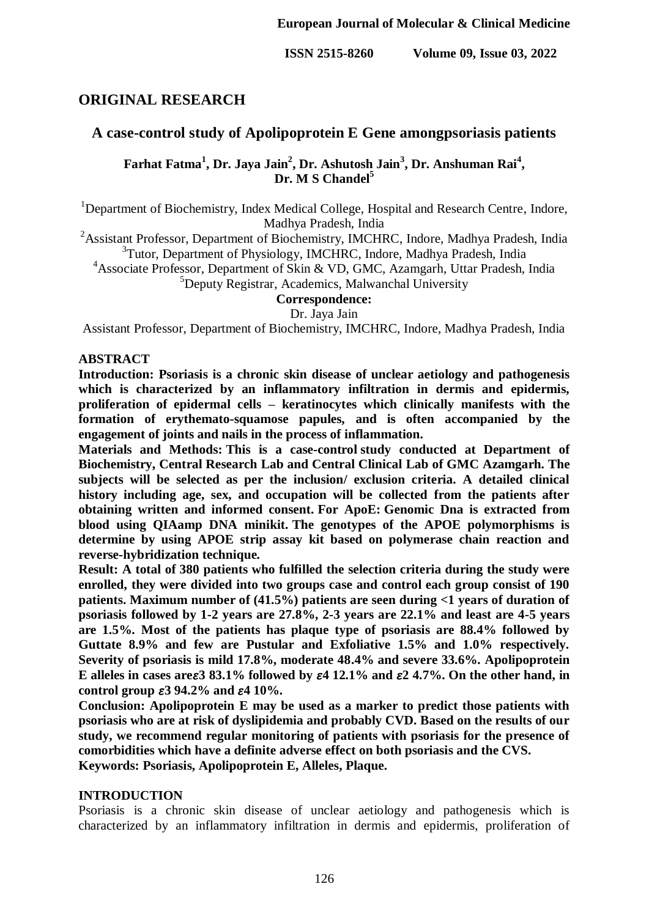# **ORIGINAL RESEARCH**

# **A case-control study of Apolipoprotein E Gene amongpsoriasis patients**

**Farhat Fatma<sup>1</sup> , Dr. Jaya Jain<sup>2</sup> , Dr. Ashutosh Jain<sup>3</sup> , Dr. Anshuman Rai<sup>4</sup> , Dr. M S Chandel<sup>5</sup>**

<sup>1</sup>Department of Biochemistry, Index Medical College, Hospital and Research Centre, Indore, Madhya Pradesh, India

<sup>2</sup>Assistant Professor. Department of Biochemistry, IMCHRC, Indore, Madhya Pradesh, India <sup>3</sup>Tutor, Department of Physiology, IMCHRC, Indore, Madhya Pradesh, India

<sup>4</sup>Associate Professor, Department of Skin & VD, GMC, Azamgarh, Uttar Pradesh, India

<sup>5</sup>Deputy Registrar, Academics, Malwanchal University

**Correspondence:**

Dr. Jaya Jain

Assistant Professor, Department of Biochemistry, IMCHRC, Indore, Madhya Pradesh, India

### **ABSTRACT**

**Introduction: Psoriasis is a chronic skin disease of unclear aetiology and pathogenesis which is characterized by an inflammatory infiltration in dermis and epidermis, proliferation of epidermal cells – keratinocytes which clinically manifests with the formation of erythemato-squamose papules, and is often accompanied by the engagement of joints and nails in the process of inflammation.** 

**Materials and Methods: This is a case-control study conducted at Department of Biochemistry, Central Research Lab and Central Clinical Lab of GMC Azamgarh. The subjects will be selected as per the inclusion/ exclusion criteria. A detailed clinical history including age, sex, and occupation will be collected from the patients after obtaining written and informed consent. For ApoE: Genomic Dna is extracted from blood using QIAamp DNA minikit. The genotypes of the APOE polymorphisms is determine by using APOE strip assay kit based on polymerase chain reaction and reverse-hybridization technique.**

**Result: A total of 380 patients who fulfilled the selection criteria during the study were enrolled, they were divided into two groups case and control each group consist of 190 patients. Maximum number of (41.5%) patients are seen during <1 years of duration of psoriasis followed by 1-2 years are 27.8%, 2-3 years are 22.1% and least are 4-5 years are 1.5%. Most of the patients has plaque type of psoriasis are 88.4% followed by Guttate 8.9% and few are Pustular and Exfoliative 1.5% and 1.0% respectively. Severity of psoriasis is mild 17.8%, moderate 48.4% and severe 33.6%. Apolipoprotein E** alleles in cases are  $\epsilon 3 83.1\%$  followed by  $\epsilon 4 12.1\%$  and  $\epsilon 2 4.7\%$ . On the other hand, in **control group 3 94.2% and 4 10%.**

**Conclusion: Apolipoprotein E may be used as a marker to predict those patients with psoriasis who are at risk of dyslipidemia and probably CVD. Based on the results of our study, we recommend regular monitoring of patients with psoriasis for the presence of comorbidities which have a definite adverse effect on both psoriasis and the CVS. Keywords: Psoriasis, Apolipoprotein E, Alleles, Plaque.**

### **INTRODUCTION**

Psoriasis is a chronic skin disease of unclear aetiology and pathogenesis which is characterized by an inflammatory infiltration in dermis and epidermis, proliferation of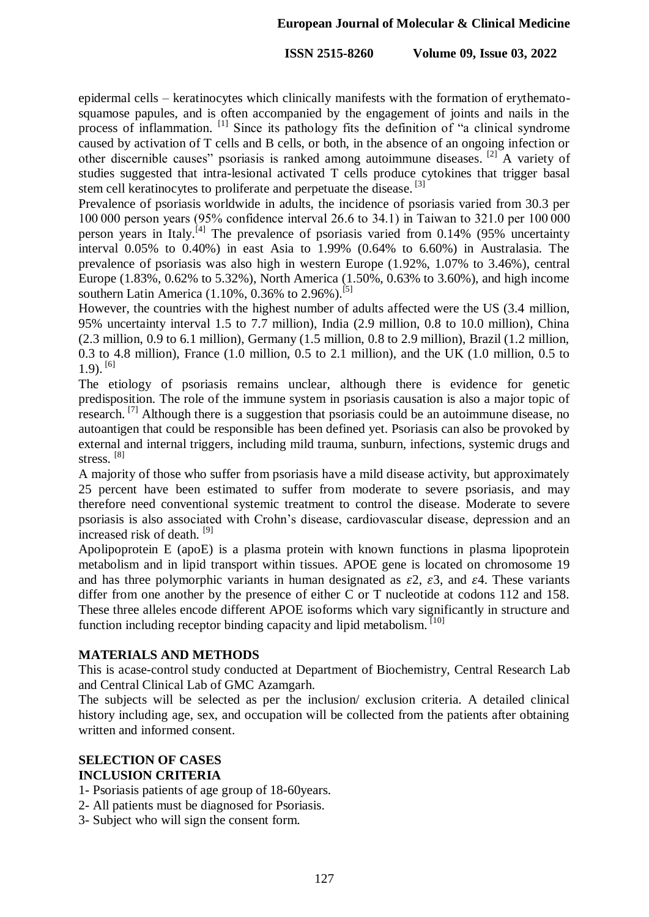epidermal cells – keratinocytes which clinically manifests with the formation of erythematosquamose papules, and is often accompanied by the engagement of joints and nails in the process of inflammation. <sup>[1]</sup> Since its pathology fits the definition of "a clinical syndrome caused by activation of T cells and B cells, or both, in the absence of an ongoing infection or other discernible causes" psoriasis is ranked among autoimmune diseases. <sup>[2]</sup> A variety of studies suggested that intra-lesional activated T cells produce cytokines that trigger basal stem cell keratinocytes to proliferate and perpetuate the disease.<sup>[3]</sup>

Prevalence of psoriasis worldwide in adults, the incidence of psoriasis varied from 30.3 per 100 000 person years (95% confidence interval 26.6 to 34.1) in Taiwan to 321.0 per 100 000 person years in Italy.<sup>[4]</sup> The prevalence of psoriasis varied from  $0.14\%$  (95% uncertainty interval 0.05% to 0.40%) in east Asia to 1.99% (0.64% to 6.60%) in Australasia. The prevalence of psoriasis was also high in western Europe (1.92%, 1.07% to 3.46%), central Europe (1.83%, 0.62% to 5.32%), North America (1.50%, 0.63% to 3.60%), and high income southern Latin America  $(1.10\%, 0.36\%$  to  $2.96\%$ ).<sup>[5]</sup>

However, the countries with the highest number of adults affected were the US (3.4 million, 95% uncertainty interval 1.5 to 7.7 million), India (2.9 million, 0.8 to 10.0 million), China (2.3 million, 0.9 to 6.1 million), Germany (1.5 million, 0.8 to 2.9 million), Brazil (1.2 million, 0.3 to 4.8 million), France (1.0 million, 0.5 to 2.1 million), and the UK (1.0 million, 0.5 to  $1.9$ ).  $^{[6]}$ 

The etiology of psoriasis remains unclear, although there is evidence for genetic predisposition. The role of the immune system in psoriasis causation is also a major topic of research. <sup>[7]</sup> Although there is a suggestion that psoriasis could be an autoimmune disease, no autoantigen that could be responsible has been defined yet. Psoriasis can also be provoked by external and internal triggers, including mild trauma, sunburn, infections, systemic drugs and stress. [8]

A majority of those who suffer from psoriasis have a mild disease activity, but approximately 25 percent have been estimated to suffer from moderate to severe psoriasis, and may therefore need conventional systemic treatment to control the disease. Moderate to severe psoriasis is also associated with Crohn's disease, cardiovascular disease, depression and an increased risk of death. [9]

Apolipoprotein E (apoE) is a plasma protein with known functions in plasma lipoprotein metabolism and in lipid transport within tissues. APOE gene is located on chromosome 19 and has three polymorphic variants in human designated as  $\epsilon^2$ ,  $\epsilon^3$ , and  $\epsilon^4$ . These variants differ from one another by the presence of either C or T nucleotide at codons 112 and 158. These three alleles encode different APOE isoforms which vary significantly in structure and function including receptor binding capacity and lipid metabolism.<sup>[10]</sup>

## **MATERIALS AND METHODS**

This is acase-control study conducted at Department of Biochemistry, Central Research Lab and Central Clinical Lab of GMC Azamgarh.

The subjects will be selected as per the inclusion/ exclusion criteria. A detailed clinical history including age, sex, and occupation will be collected from the patients after obtaining written and informed consent.

## **SELECTION OF CASES INCLUSION CRITERIA**

- 1- Psoriasis patients of age group of 18-60years.
- 2- All patients must be diagnosed for Psoriasis.
- 3- Subject who will sign the consent form.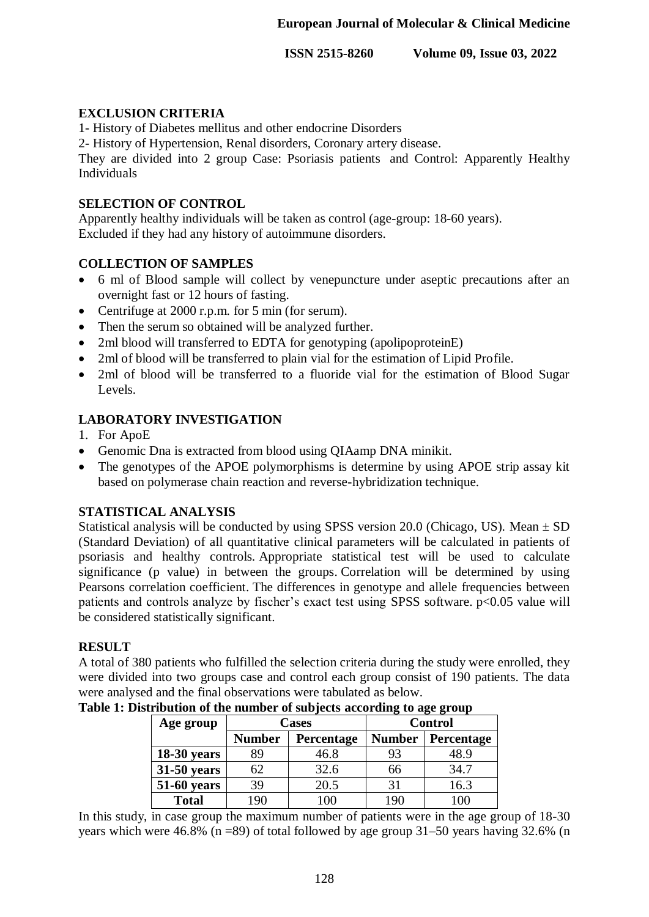## **EXCLUSION CRITERIA**

1- History of Diabetes mellitus and other endocrine Disorders

2- History of Hypertension, Renal disorders, Coronary artery disease.

They are divided into 2 group Case: Psoriasis patients and Control: Apparently Healthy Individuals

## **SELECTION OF CONTROL**

Apparently healthy individuals will be taken as control (age-group: 18-60 years). Excluded if they had any history of autoimmune disorders.

# **COLLECTION OF SAMPLES**

- 6 ml of Blood sample will collect by venepuncture under aseptic precautions after an overnight fast or 12 hours of fasting.
- Centrifuge at 2000 r.p.m. for 5 min (for serum).
- Then the serum so obtained will be analyzed further.
- 2ml blood will transferred to EDTA for genotyping (apolipoproteinE)
- 2ml of blood will be transferred to plain vial for the estimation of Lipid Profile.
- 2ml of blood will be transferred to a fluoride vial for the estimation of Blood Sugar Levels.

# **LABORATORY INVESTIGATION**

- 1. For ApoE
- Genomic Dna is extracted from blood using QIAamp DNA minikit.
- The genotypes of the APOE polymorphisms is determine by using APOE strip assay kit based on polymerase chain reaction and reverse-hybridization technique.

## **STATISTICAL ANALYSIS**

Statistical analysis will be conducted by using SPSS version 20.0 (Chicago, US). Mean  $\pm$  SD (Standard Deviation) of all quantitative clinical parameters will be calculated in patients of psoriasis and healthy controls. Appropriate statistical test will be used to calculate significance (p value) in between the groups. Correlation will be determined by using Pearsons correlation coefficient. The differences in genotype and allele frequencies between patients and controls analyze by fischer's exact test using SPSS software. p<0.05 value will be considered statistically significant.

## **RESULT**

A total of 380 patients who fulfilled the selection criteria during the study were enrolled, they were divided into two groups case and control each group consist of 190 patients. The data were analysed and the final observations were tabulated as below.

| Age group          |                             | Cases | <b>Control</b> |            |  |
|--------------------|-----------------------------|-------|----------------|------------|--|
|                    | <b>Number</b><br>Percentage |       | <b>Number</b>  | Percentage |  |
| $18-30$ years      | 89                          | 46.8  | 93             | 48.9       |  |
| 31-50 years        | 62                          | 32.6  | 66             | 34.7       |  |
| <b>51-60 years</b> | 39                          | 20.5  | 31             | 16.3       |  |
| <b>Total</b>       | 190                         | 100   | 190            | 100        |  |

In this study, in case group the maximum number of patients were in the age group of 18-30 years which were 46.8% (n =89) of total followed by age group  $31-50$  years having 32.6% (n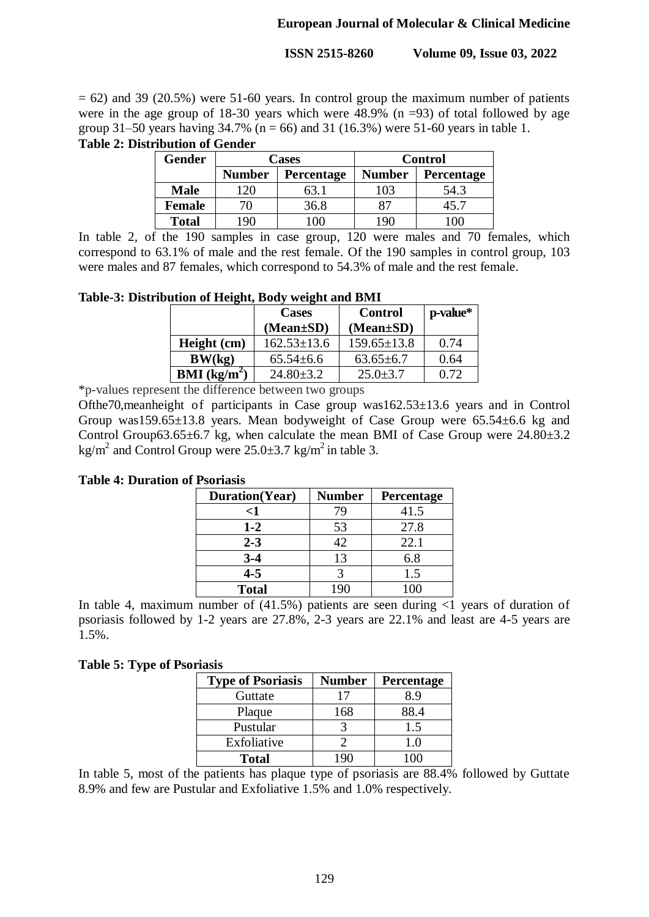$= 62$ ) and 39 (20.5%) were 51-60 years. In control group the maximum number of patients were in the age group of 18-30 years which were  $48.9\%$  (n =93) of total followed by age group 31–50 years having 34.7% ( $n = 66$ ) and 31 (16.3%) were 51-60 years in table 1.

**Table 2: Distribution of Gender** 

| <b>Gender</b> |                                    | <b>Cases</b> | <b>Control</b> |                   |  |
|---------------|------------------------------------|--------------|----------------|-------------------|--|
|               | <b>Number</b><br><b>Percentage</b> |              | <b>Number</b>  | <b>Percentage</b> |  |
| <b>Male</b>   |                                    | 63.          | 103            | 54.3              |  |
| <b>Female</b> |                                    | 36.8         | 87             | 45.7              |  |
| <b>Total</b>  | ۱QN                                | OC           | 196            | ω                 |  |

In table 2, of the 190 samples in case group, 120 were males and 70 females, which correspond to 63.1% of male and the rest female. Of the 190 samples in control group, 103 were males and 87 females, which correspond to 54.3% of male and the rest female.

**Table-3: Distribution of Height, Body weight and BMI**

|                                 | <b>Cases</b>      | Control           | p-value* |
|---------------------------------|-------------------|-------------------|----------|
|                                 | $(Mean \pm SD)$   | $(Mean \pm SD)$   |          |
| Height (cm)                     | $162.53 \pm 13.6$ | $159.65 \pm 13.8$ | 0.74     |
| BW(kg)                          | $65.54 \pm 6.6$   | $63.65 \pm 6.7$   | 0.64     |
| <b>BMI</b> (kg/m <sup>2</sup> ) | $24.80 \pm 3.2$   | $25.0 \pm 3.7$    | 0.72     |

\*p-values represent the difference between two groups

Ofthe70,meanheight of participants in Case group was162.53±13.6 years and in Control Group was159.65±13.8 years. Mean bodyweight of Case Group were 65.54±6.6 kg and Control Group63.65 $\pm$ 6.7 kg, when calculate the mean BMI of Case Group were 24.80 $\pm$ 3.2 kg/m<sup>2</sup> and Control Group were  $25.0\pm3.7$  kg/m<sup>2</sup> in table 3.

**Table 4: Duration of Psoriasis** 

| Duration(Year) | <b>Number</b> | Percentage |
|----------------|---------------|------------|
| <1             | 79            | 41.5       |
| $1 - 2$        | 53            | 27.8       |
| $2 - 3$        | 42            | 22.1       |
| $3 - 4$        | 13            | 6.8        |
| $4 - 5$        |               | 1.5        |
| <b>Total</b>   | 19()          | ഥറ         |

In table 4, maximum number of  $(41.5%)$  patients are seen during  $\langle 1 \rangle$  years of duration of psoriasis followed by 1-2 years are 27.8%, 2-3 years are 22.1% and least are 4-5 years are 1.5%.

## **Table 5: Type of Psoriasis**

| <b>Type of Psoriasis</b> | <b>Number</b> | Percentage |
|--------------------------|---------------|------------|
| Guttate                  |               | 89         |
| Plaque                   | 168           | 88.4       |
| Pustular                 |               | 1.5        |
| Exfoliative              |               | 1.0        |
| <b>Total</b>             |               | ωO         |

In table 5, most of the patients has plaque type of psoriasis are 88.4% followed by Guttate 8.9% and few are Pustular and Exfoliative 1.5% and 1.0% respectively.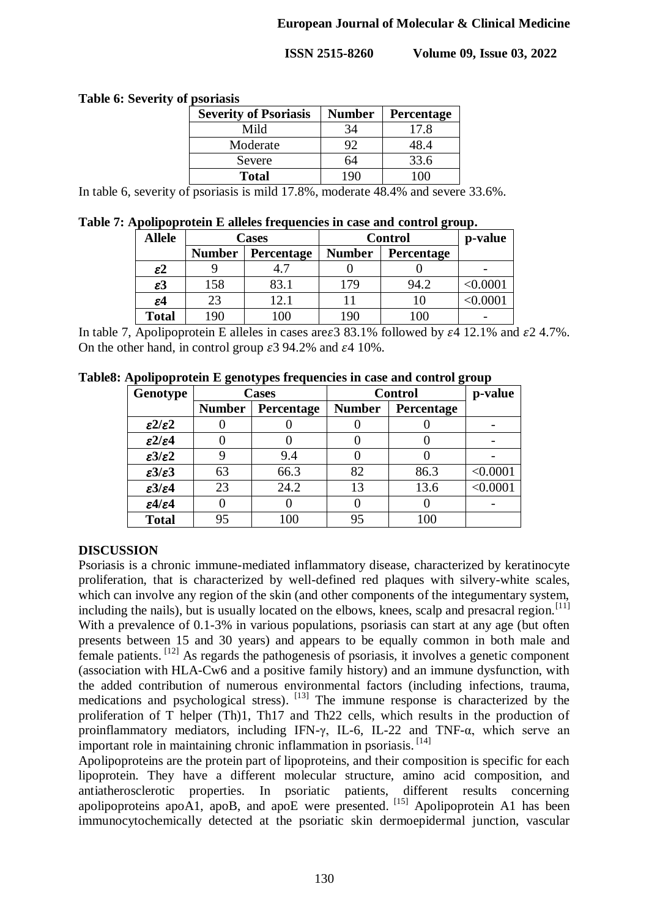## **Table 6: Severity of psoriasis**

| <b>Severity of Psoriasis</b> | <b>Number</b> | Percentage |
|------------------------------|---------------|------------|
| Mild                         | 34            | 17.8       |
| Moderate                     |               | 48.4       |
| Severe                       | 64            | 33.6       |
| <b>Total</b>                 |               |            |

In table 6, severity of psoriasis is mild 17.8%, moderate 48.4% and severe 33.6%.

**Table 7: Apolipoprotein E alleles frequencies in case and control group.**

| <b>Allele</b>   |                                    | Cases | <b>Control</b> | p-value    |        |
|-----------------|------------------------------------|-------|----------------|------------|--------|
|                 | <b>Number</b><br><b>Percentage</b> |       | <b>Number</b>  | Percentage |        |
| $\varepsilon$ 2 |                                    |       |                |            |        |
| $\varepsilon$ 3 | 158                                | 83.1  | 179            | 94.2       | 0.0001 |
| $\varepsilon$ 4 | 23                                 | 12.1  |                |            |        |
| <b>Total</b>    | 190                                | 00    | 190            | 100        |        |

In table 7, Apolipoprotein E alleles in cases are  $\epsilon$  3 83.1% followed by  $\epsilon$  4 12.1% and  $\epsilon$  2 4.7%. On the other hand, in control group  $\epsilon$  3 94.2% and  $\epsilon$  4 10%.

| Table8: Apolipoprotein E genotypes frequencies in case and control group |  |  |  |  |  |  |  |
|--------------------------------------------------------------------------|--|--|--|--|--|--|--|
|                                                                          |  |  |  |  |  |  |  |

| Genotype                   |               | Cases      | <b>Control</b> | p-value    |          |
|----------------------------|---------------|------------|----------------|------------|----------|
|                            | <b>Number</b> | Percentage | <b>Number</b>  | Percentage |          |
| $\epsilon$ 2/ $\epsilon$ 2 |               |            |                |            |          |
| $\epsilon 2/\epsilon 4$    |               |            |                |            |          |
| $\epsilon 3/\epsilon 2$    | 9             | 9.4        |                |            |          |
| $\epsilon 3/\epsilon 3$    | 63            | 66.3       | 82             | 86.3       | < 0.0001 |
| $\epsilon 3/\epsilon 4$    | 23            | 24.2       | 13             | 13.6       | < 0.0001 |
| $\epsilon 4/\epsilon 4$    | 0             |            |                |            |          |
| <b>Total</b>               | 95            | 100        | 95             | 100        |          |

# **DISCUSSION**

Psoriasis is a chronic immune-mediated inflammatory disease, characterized by keratinocyte proliferation, that is characterized by well-defined red plaques with silvery-white scales, which can involve any region of the skin (and other components of the integumentary system, including the nails), but is usually located on the elbows, knees, scalp and presacral region.<sup>[11]</sup> With a prevalence of 0.1-3% in various populations, psoriasis can start at any age (but often presents between 15 and 30 years) and appears to be equally common in both male and female patients. <sup>[12]</sup> As regards the pathogenesis of psoriasis, it involves a genetic component (association with HLA-Cw6 and a positive family history) and an immune dysfunction, with the added contribution of numerous environmental factors (including infections, trauma, medications and psychological stress). <sup>[13]</sup> The immune response is characterized by the proliferation of T helper (Th)1, Th17 and Th22 cells, which results in the production of proinflammatory mediators, including IFN- $\gamma$ , IL-6, IL-22 and TNF- $\alpha$ , which serve an important role in maintaining chronic inflammation in psoriasis.<sup>[14]</sup>

Apolipoproteins are the protein part of lipoproteins, and their composition is specific for each lipoprotein. They have a different molecular structure, amino acid composition, and antiatherosclerotic properties. In psoriatic patients, different results concerning apolipoproteins apoA1, apoB, and apoE were presented. [15] Apolipoprotein A1 has been immunocytochemically detected at the psoriatic skin dermoepidermal junction, vascular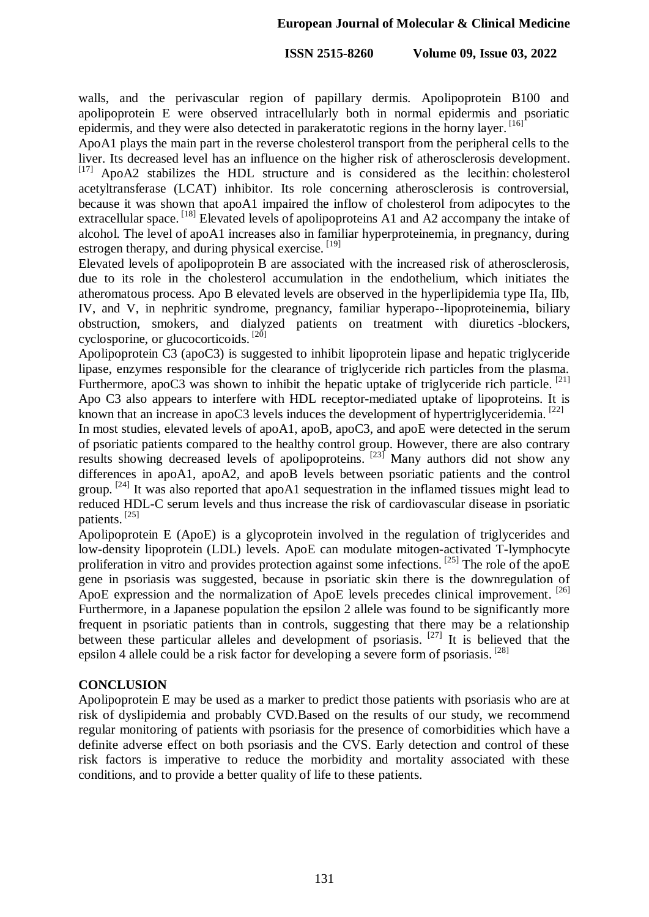walls, and the perivascular region of papillary dermis. Apolipoprotein B100 and apolipoprotein E were observed intracellularly both in normal epidermis and psoriatic epidermis, and they were also detected in parakeratotic regions in the horny layer. [16]

ApoA1 plays the main part in the reverse cholesterol transport from the peripheral cells to the liver. Its decreased level has an influence on the higher risk of atherosclerosis development.  $[17]$  ApoA2 stabilizes the HDL structure and is considered as the lecithin: cholesterol acetyltransferase (LCAT) inhibitor. Its role concerning atherosclerosis is controversial, because it was shown that apoA1 impaired the inflow of cholesterol from adipocytes to the extracellular space. <sup>[18]</sup> Elevated levels of apolipoproteins A1 and A2 accompany the intake of alcohol. The level of apoA1 increases also in familiar hyperproteinemia, in pregnancy, during estrogen therapy, and during physical exercise. [19]

Elevated levels of apolipoprotein B are associated with the increased risk of atherosclerosis, due to its role in the cholesterol accumulation in the endothelium, which initiates the atheromatous process. Apo B elevated levels are observed in the hyperlipidemia type IIa, IIb, IV, and V, in nephritic syndrome, pregnancy, familiar hyperapo--lipoproteinemia, biliary obstruction, smokers, and dialyzed patients on treatment with diuretics -blockers, cyclosporine, or glucocorticoids.<sup>[20]</sup>

Apolipoprotein C3 (apoC3) is suggested to inhibit lipoprotein lipase and hepatic triglyceride lipase, enzymes responsible for the clearance of triglyceride rich particles from the plasma. Furthermore, apoC3 was shown to inhibit the hepatic uptake of triglyceride rich particle.  $^{[21]}$ Apo C3 also appears to interfere with HDL receptor-mediated uptake of lipoproteins. It is known that an increase in apoC3 levels induces the development of hypertriglyceridemia.  $[22]$ 

In most studies, elevated levels of apoA1, apoB, apoC3, and apoE were detected in the serum of psoriatic patients compared to the healthy control group. However, there are also contrary results showing decreased levels of apolipoproteins.  $^{[23]}$  Many authors did not show any differences in apoA1, apoA2, and apoB levels between psoriatic patients and the control group. <sup>[24]</sup> It was also reported that apoA1 sequestration in the inflamed tissues might lead to reduced HDL-C serum levels and thus increase the risk of cardiovascular disease in psoriatic patients. [25]

Apolipoprotein E (ApoE) is a glycoprotein involved in the regulation of triglycerides and low-density lipoprotein (LDL) levels. ApoE can modulate mitogen-activated T-lymphocyte proliferation in vitro and provides protection against some infections.<sup>[25]</sup> The role of the apoE gene in psoriasis was suggested, because in psoriatic skin there is the downregulation of ApoE expression and the normalization of ApoE levels precedes clinical improvement. [26] Furthermore, in a Japanese population the epsilon 2 allele was found to be significantly more frequent in psoriatic patients than in controls, suggesting that there may be a relationship between these particular alleles and development of psoriasis.<sup>[27]</sup> It is believed that the epsilon 4 allele could be a risk factor for developing a severe form of psoriasis.<sup>[28]</sup>

### **CONCLUSION**

Apolipoprotein E may be used as a marker to predict those patients with psoriasis who are at risk of dyslipidemia and probably CVD.Based on the results of our study, we recommend regular monitoring of patients with psoriasis for the presence of comorbidities which have a definite adverse effect on both psoriasis and the CVS. Early detection and control of these risk factors is imperative to reduce the morbidity and mortality associated with these conditions, and to provide a better quality of life to these patients.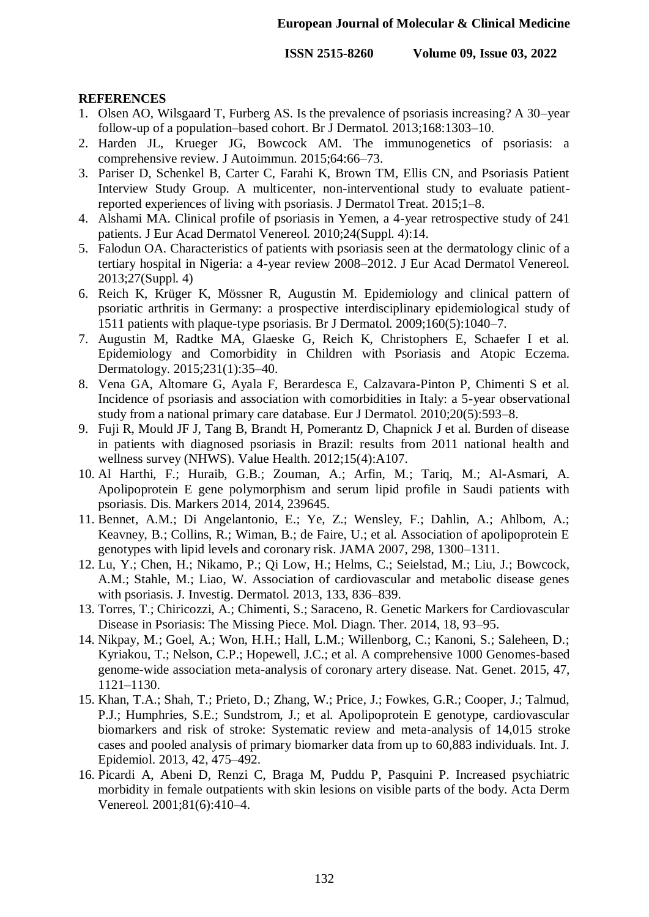### **REFERENCES**

- 1. Olsen AO, Wilsgaard T, Furberg AS. Is the prevalence of psoriasis increasing? A 30–year follow-up of a population–based cohort. Br J Dermatol. 2013;168:1303–10.
- 2. Harden JL, Krueger JG, Bowcock AM. The immunogenetics of psoriasis: a comprehensive review. J Autoimmun. 2015;64:66–73.
- 3. Pariser D, Schenkel B, Carter C, Farahi K, Brown TM, Ellis CN, and Psoriasis Patient Interview Study Group. A multicenter, non-interventional study to evaluate patientreported experiences of living with psoriasis. J Dermatol Treat. 2015;1–8.
- 4. Alshami MA. Clinical profile of psoriasis in Yemen, a 4-year retrospective study of 241 patients. J Eur Acad Dermatol Venereol. 2010;24(Suppl. 4):14.
- 5. Falodun OA. Characteristics of patients with psoriasis seen at the dermatology clinic of a tertiary hospital in Nigeria: a 4-year review 2008–2012. J Eur Acad Dermatol Venereol. 2013;27(Suppl. 4)
- 6. Reich K, Krüger K, Mössner R, Augustin M. Epidemiology and clinical pattern of psoriatic arthritis in Germany: a prospective interdisciplinary epidemiological study of 1511 patients with plaque-type psoriasis. Br J Dermatol. 2009;160(5):1040–7.
- 7. Augustin M, Radtke MA, Glaeske G, Reich K, Christophers E, Schaefer I et al. Epidemiology and Comorbidity in Children with Psoriasis and Atopic Eczema. Dermatology. 2015;231(1):35–40.
- 8. Vena GA, Altomare G, Ayala F, Berardesca E, Calzavara-Pinton P, Chimenti S et al. Incidence of psoriasis and association with comorbidities in Italy: a 5-year observational study from a national primary care database. Eur J Dermatol. 2010;20(5):593–8.
- 9. Fuji R, Mould JF J, Tang B, Brandt H, Pomerantz D, Chapnick J et al. Burden of disease in patients with diagnosed psoriasis in Brazil: results from 2011 national health and wellness survey (NHWS). Value Health. 2012;15(4):A107.
- 10. Al Harthi, F.; Huraib, G.B.; Zouman, A.; Arfin, M.; Tariq, M.; Al-Asmari, A. Apolipoprotein E gene polymorphism and serum lipid profile in Saudi patients with psoriasis. Dis. Markers 2014, 2014, 239645.
- 11. Bennet, A.M.; Di Angelantonio, E.; Ye, Z.; Wensley, F.; Dahlin, A.; Ahlbom, A.; Keavney, B.; Collins, R.; Wiman, B.; de Faire, U.; et al. Association of apolipoprotein E genotypes with lipid levels and coronary risk. JAMA 2007, 298, 1300–1311.
- 12. Lu, Y.; Chen, H.; Nikamo, P.; Qi Low, H.; Helms, C.; Seielstad, M.; Liu, J.; Bowcock, A.M.; Stahle, M.; Liao, W. Association of cardiovascular and metabolic disease genes with psoriasis. J. Investig. Dermatol. 2013, 133, 836–839.
- 13. Torres, T.; Chiricozzi, A.; Chimenti, S.; Saraceno, R. Genetic Markers for Cardiovascular Disease in Psoriasis: The Missing Piece. Mol. Diagn. Ther. 2014, 18, 93–95.
- 14. Nikpay, M.; Goel, A.; Won, H.H.; Hall, L.M.; Willenborg, C.; Kanoni, S.; Saleheen, D.; Kyriakou, T.; Nelson, C.P.; Hopewell, J.C.; et al. A comprehensive 1000 Genomes-based genome-wide association meta-analysis of coronary artery disease. Nat. Genet. 2015, 47, 1121–1130.
- 15. Khan, T.A.; Shah, T.; Prieto, D.; Zhang, W.; Price, J.; Fowkes, G.R.; Cooper, J.; Talmud, P.J.; Humphries, S.E.; Sundstrom, J.; et al. Apolipoprotein E genotype, cardiovascular biomarkers and risk of stroke: Systematic review and meta-analysis of 14,015 stroke cases and pooled analysis of primary biomarker data from up to 60,883 individuals. Int. J. Epidemiol. 2013, 42, 475–492.
- 16. Picardi A, Abeni D, Renzi C, Braga M, Puddu P, Pasquini P. Increased psychiatric morbidity in female outpatients with skin lesions on visible parts of the body. Acta Derm Venereol. 2001;81(6):410–4.